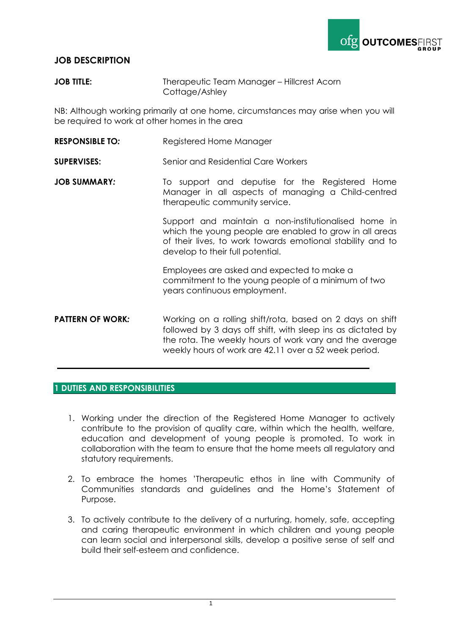

## **JOB DESCRIPTION**

**JOB TITLE:** Therapeutic Team Manager – Hillcrest Acorn Cottage/Ashley

NB: Although working primarily at one home, circumstances may arise when you will be required to work at other homes in the area

**RESPONSIBLE TO:** Registered Home Manager

**SUPERVISES:** Senior and Residential Care Workers

**JOB SUMMARY:** To support and deputise for the Registered Home Manager in all aspects of managing a Child-centred therapeutic community service.

> Support and maintain a non-institutionalised home in which the young people are enabled to grow in all areas of their lives, to work towards emotional stability and to develop to their full potential.

Employees are asked and expected to make a commitment to the young people of a minimum of two years continuous employment.

**PATTERN OF WORK:** Working on a rolling shift/rota, based on 2 days on shift followed by 3 days off shift, with sleep ins as dictated by the rota. The weekly hours of work vary and the average weekly hours of work are 42.11 over a 52 week period.

### **1 DUTIES AND RESPONSIBILITIES**

- 1. Working under the direction of the Registered Home Manager to actively contribute to the provision of quality care, within which the health, welfare, education and development of young people is promoted. To work in collaboration with the team to ensure that the home meets all regulatory and statutory requirements.
- 2. To embrace the homes 'Therapeutic ethos in line with Community of Communities standards and guidelines and the Home's Statement of Purpose.
- 3. To actively contribute to the delivery of a nurturing, homely, safe, accepting and caring therapeutic environment in which children and young people can learn social and interpersonal skills, develop a positive sense of self and build their self-esteem and confidence.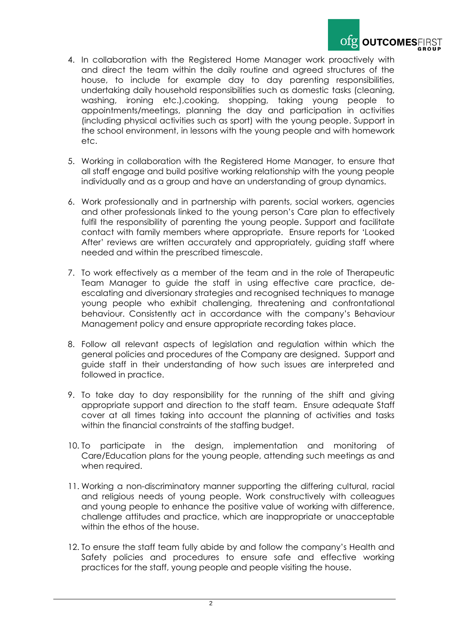

- 4. In collaboration with the Registered Home Manager work proactively with and direct the team within the daily routine and agreed structures of the house, to include for example day to day parenting responsibilities, undertaking daily household responsibilities such as domestic tasks (cleaning, washing, ironing etc.),cooking, shopping, taking young people to appointments/meetings, planning the day and participation in activities (including physical activities such as sport) with the young people. Support in the school environment, in lessons with the young people and with homework etc.
- 5. Working in collaboration with the Registered Home Manager, to ensure that all staff engage and build positive working relationship with the young people individually and as a group and have an understanding of group dynamics.
- 6. Work professionally and in partnership with parents, social workers, agencies and other professionals linked to the young person's Care plan to effectively fulfil the responsibility of parenting the young people. Support and facilitate contact with family members where appropriate. Ensure reports for 'Looked After' reviews are written accurately and appropriately, guiding staff where needed and within the prescribed timescale.
- 7. To work effectively as a member of the team and in the role of Therapeutic Team Manager to guide the staff in using effective care practice, deescalating and diversionary strategies and recognised techniques to manage young people who exhibit challenging, threatening and confrontational behaviour. Consistently act in accordance with the company's Behaviour Management policy and ensure appropriate recording takes place.
- 8. Follow all relevant aspects of legislation and regulation within which the general policies and procedures of the Company are designed. Support and guide staff in their understanding of how such issues are interpreted and followed in practice.
- 9. To take day to day responsibility for the running of the shift and giving appropriate support and direction to the staff team. Ensure adequate Staff cover at all times taking into account the planning of activities and tasks within the financial constraints of the staffing budget.
- 10. To participate in the design, implementation and monitoring of Care/Education plans for the young people, attending such meetings as and when required.
- 11. Working a non-discriminatory manner supporting the differing cultural, racial and religious needs of young people. Work constructively with colleagues and young people to enhance the positive value of working with difference, challenge attitudes and practice, which are inappropriate or unacceptable within the ethos of the house.
- 12. To ensure the staff team fully abide by and follow the company's Health and Safety policies and procedures to ensure safe and effective working practices for the staff, young people and people visiting the house.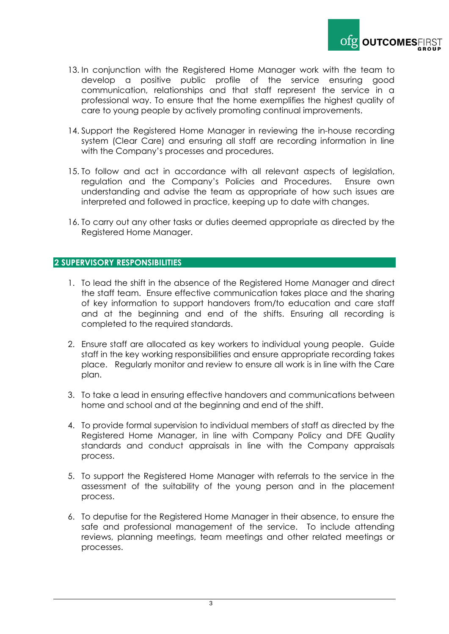

- 13. In conjunction with the Registered Home Manager work with the team to develop a positive public profile of the service ensuring good communication, relationships and that staff represent the service in a professional way. To ensure that the home exemplifies the highest quality of care to young people by actively promoting continual improvements.
- 14. Support the Registered Home Manager in reviewing the in-house recording system (Clear Care) and ensuring all staff are recording information in line with the Company's processes and procedures.
- 15. To follow and act in accordance with all relevant aspects of legislation, regulation and the Company's Policies and Procedures. Ensure own understanding and advise the team as appropriate of how such issues are interpreted and followed in practice, keeping up to date with changes.
- 16. To carry out any other tasks or duties deemed appropriate as directed by the Registered Home Manager.

### **2 SUPERVISORY RESPONSIBILITIES**

- 1. To lead the shift in the absence of the Registered Home Manager and direct the staff team. Ensure effective communication takes place and the sharing of key information to support handovers from/to education and care staff and at the beginning and end of the shifts. Ensuring all recording is completed to the required standards.
- 2. Ensure staff are allocated as key workers to individual young people. Guide staff in the key working responsibilities and ensure appropriate recording takes place. Regularly monitor and review to ensure all work is in line with the Care plan.
- 3. To take a lead in ensuring effective handovers and communications between home and school and at the beginning and end of the shift.
- 4. To provide formal supervision to individual members of staff as directed by the Registered Home Manager, in line with Company Policy and DFE Quality standards and conduct appraisals in line with the Company appraisals process.
- 5. To support the Registered Home Manager with referrals to the service in the assessment of the suitability of the young person and in the placement process.
- 6. To deputise for the Registered Home Manager in their absence, to ensure the safe and professional management of the service. To include attending reviews, planning meetings, team meetings and other related meetings or processes.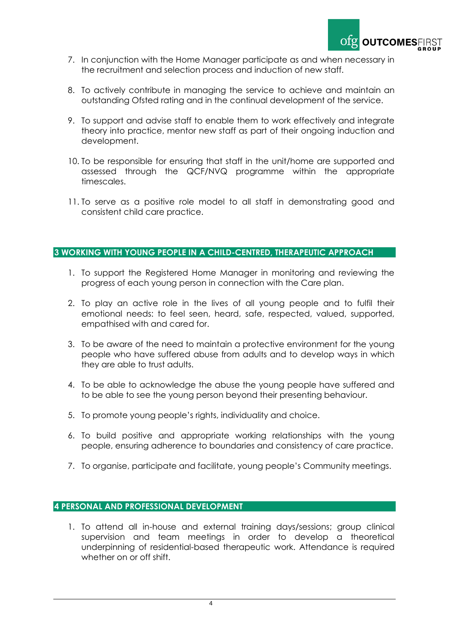

- 7. In conjunction with the Home Manager participate as and when necessary in the recruitment and selection process and induction of new staff.
- 8. To actively contribute in managing the service to achieve and maintain an outstanding Ofsted rating and in the continual development of the service.
- 9. To support and advise staff to enable them to work effectively and integrate theory into practice, mentor new staff as part of their ongoing induction and development.
- 10. To be responsible for ensuring that staff in the unit/home are supported and assessed through the QCF/NVQ programme within the appropriate timescales.
- 11. To serve as a positive role model to all staff in demonstrating good and consistent child care practice.

## **3 WORKING WITH YOUNG PEOPLE IN A CHILD-CENTRED, THERAPEUTIC APPROACH**

- 1. To support the Registered Home Manager in monitoring and reviewing the progress of each young person in connection with the Care plan.
- 2. To play an active role in the lives of all young people and to fulfil their emotional needs: to feel seen, heard, safe, respected, valued, supported, empathised with and cared for.
- 3. To be aware of the need to maintain a protective environment for the young people who have suffered abuse from adults and to develop ways in which they are able to trust adults.
- 4. To be able to acknowledge the abuse the young people have suffered and to be able to see the young person beyond their presenting behaviour.
- 5. To promote young people's rights, individuality and choice.
- 6. To build positive and appropriate working relationships with the young people, ensuring adherence to boundaries and consistency of care practice.
- 7. To organise, participate and facilitate, young people's Community meetings.

### **4 PERSONAL AND PROFESSIONAL DEVELOPMENT**

1. To attend all in-house and external training days/sessions; group clinical supervision and team meetings in order to develop a theoretical underpinning of residential-based therapeutic work. Attendance is required whether on or off shift.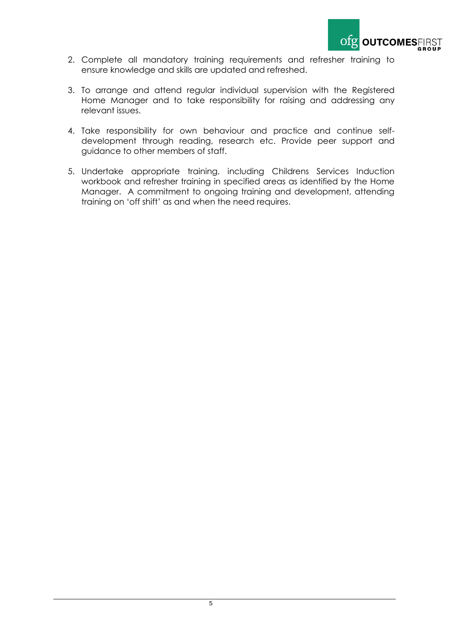

- 2. Complete all mandatory training requirements and refresher training to ensure knowledge and skills are updated and refreshed.
- 3. To arrange and attend regular individual supervision with the Registered Home Manager and to take responsibility for raising and addressing any relevant issues.
- 4. Take responsibility for own behaviour and practice and continue selfdevelopment through reading, research etc. Provide peer support and guidance to other members of staff.
- 5. Undertake appropriate training, including Childrens Services Induction workbook and refresher training in specified areas as identified by the Home Manager. A commitment to ongoing training and development, attending training on 'off shift' as and when the need requires.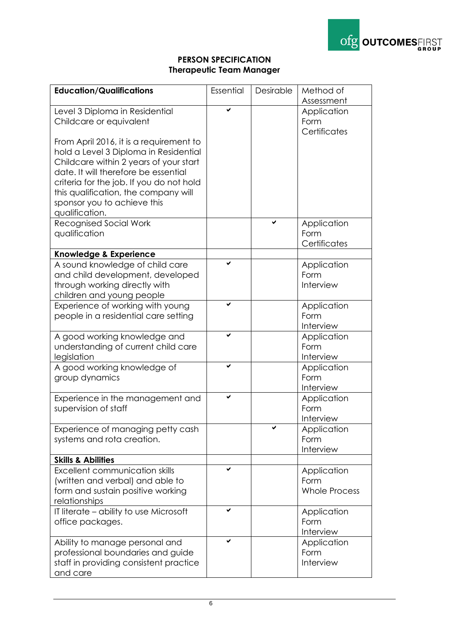

# **PERSON SPECIFICATION Therapeutic Team Manager**

| <b>Education/Qualifications</b>                                                                                                                                                                                                                                                                         | Essential | Desirable | Method of<br>Assessment                     |
|---------------------------------------------------------------------------------------------------------------------------------------------------------------------------------------------------------------------------------------------------------------------------------------------------------|-----------|-----------|---------------------------------------------|
| Level 3 Diploma in Residential<br>Childcare or equivalent                                                                                                                                                                                                                                               |           |           | Application<br>Form<br>Certificates         |
| From April 2016, it is a requirement to<br>hold a Level 3 Diploma in Residential<br>Childcare within 2 years of your start<br>date. It will therefore be essential<br>criteria for the job. If you do not hold<br>this qualification, the company will<br>sponsor you to achieve this<br>qualification. |           |           |                                             |
| <b>Recognised Social Work</b><br>qualification                                                                                                                                                                                                                                                          |           |           | Application<br>Form<br>Certificates         |
| Knowledge & Experience                                                                                                                                                                                                                                                                                  |           |           |                                             |
| A sound knowledge of child care<br>and child development, developed<br>through working directly with<br>children and young people                                                                                                                                                                       |           |           | Application<br>Form<br>Interview            |
| Experience of working with young<br>people in a residential care setting                                                                                                                                                                                                                                |           |           | Application<br>Form<br>Interview            |
| A good working knowledge and<br>understanding of current child care<br>legislation                                                                                                                                                                                                                      | ✓         |           | Application<br>Form<br>Interview            |
| A good working knowledge of<br>group dynamics                                                                                                                                                                                                                                                           | ✓         |           | Application<br>Form<br>Interview            |
| Experience in the management and<br>supervision of staff                                                                                                                                                                                                                                                | ✔         |           | Application<br>Form<br>Interview            |
| Experience of managing petty cash<br>systems and rota creation.                                                                                                                                                                                                                                         |           |           | Application<br>Form<br>Interview            |
| <b>Skills &amp; Abilities</b>                                                                                                                                                                                                                                                                           |           |           |                                             |
| <b>Excellent communication skills</b><br>(written and verbal) and able to<br>form and sustain positive working<br>relationships                                                                                                                                                                         | ✔         |           | Application<br>Form<br><b>Whole Process</b> |
| IT literate - ability to use Microsoft<br>office packages.                                                                                                                                                                                                                                              | ✓         |           | Application<br>Form<br>Interview            |
| Ability to manage personal and<br>professional boundaries and guide<br>staff in providing consistent practice<br>and care                                                                                                                                                                               | ✔         |           | Application<br>Form<br>Interview            |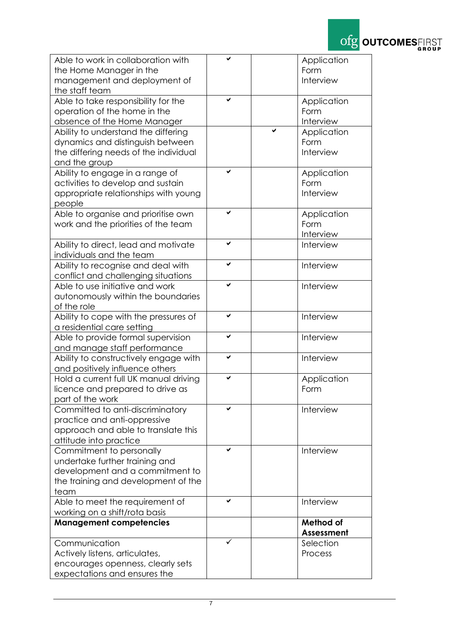

| Able to work in collaboration with    |   | Application                    |
|---------------------------------------|---|--------------------------------|
| the Home Manager in the               |   | Form                           |
| management and deployment of          |   | Interview                      |
| the staff team                        |   |                                |
| Able to take responsibility for the   | ✓ | Application                    |
| operation of the home in the          |   | Form                           |
| absence of the Home Manager           |   | Interview                      |
| Ability to understand the differing   |   | Application                    |
| dynamics and distinguish between      |   | Form                           |
| the differing needs of the individual |   | Interview                      |
| and the group                         |   |                                |
| Ability to engage in a range of       | ✔ | Application                    |
| activities to develop and sustain     |   | Form                           |
| appropriate relationships with young  |   | Interview                      |
| people                                |   |                                |
| Able to organise and prioritise own   | ✓ | Application                    |
| work and the priorities of the team   |   | Form                           |
|                                       |   | Interview                      |
| Ability to direct, lead and motivate  | ✔ | Interview                      |
| individuals and the team              |   |                                |
| Ability to recognise and deal with    | ✓ | Interview                      |
| conflict and challenging situations   |   |                                |
| Able to use initiative and work       | ✓ | Interview                      |
| autonomously within the boundaries    |   |                                |
| of the role                           |   |                                |
| Ability to cope with the pressures of | ✔ | Interview                      |
| a residential care setting            |   |                                |
| Able to provide formal supervision    | V | Interview                      |
| and manage staff performance          |   |                                |
| Ability to constructively engage with | ✓ | Interview                      |
| and positively influence others       |   |                                |
| Hold a current full UK manual driving | ✔ | Application                    |
| licence and prepared to drive as      |   | Form                           |
| part of the work                      |   |                                |
| Committed to anti-discriminatory      |   | Interview                      |
| practice and anti-oppressive          |   |                                |
| approach and able to translate this   |   |                                |
| attitude into practice                | ✔ |                                |
| Commitment to personally              |   | Interview                      |
| undertake further training and        |   |                                |
| development and a commitment to       |   |                                |
| the training and development of the   |   |                                |
| team                                  | ✔ |                                |
| Able to meet the requirement of       |   | Interview                      |
| working on a shift/rota basis         |   |                                |
| <b>Management competencies</b>        |   | Method of<br><b>Assessment</b> |
| Communication                         |   | Selection                      |
| Actively listens, articulates,        |   | Process                        |
| encourages openness, clearly sets     |   |                                |
| expectations and ensures the          |   |                                |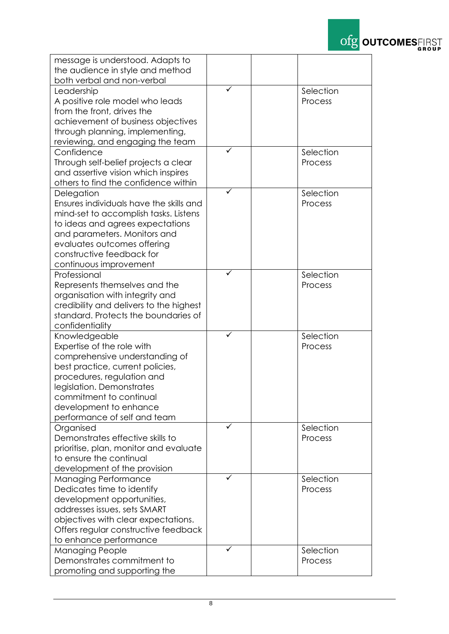

| message is understood. Adapts to<br>the audience in style and method |   |           |
|----------------------------------------------------------------------|---|-----------|
| both verbal and non-verbal                                           |   |           |
|                                                                      | ✓ | Selection |
| Leadership                                                           |   | Process   |
| A positive role model who leads<br>from the front, drives the        |   |           |
| achievement of business objectives                                   |   |           |
| through planning, implementing,                                      |   |           |
| reviewing, and engaging the team                                     |   |           |
| Confidence                                                           |   | Selection |
| Through self-belief projects a clear                                 |   | Process   |
| and assertive vision which inspires                                  |   |           |
| others to find the confidence within                                 |   |           |
| Delegation                                                           |   | Selection |
| Ensures individuals have the skills and                              |   | Process   |
| mind-set to accomplish tasks. Listens                                |   |           |
| to ideas and agrees expectations                                     |   |           |
| and parameters. Monitors and                                         |   |           |
| evaluates outcomes offering                                          |   |           |
| constructive feedback for                                            |   |           |
| continuous improvement                                               |   |           |
| Professional                                                         |   | Selection |
| Represents themselves and the                                        |   | Process   |
| organisation with integrity and                                      |   |           |
| credibility and delivers to the highest                              |   |           |
| standard. Protects the boundaries of                                 |   |           |
| confidentiality                                                      |   |           |
| Knowledgeable                                                        | ✓ | Selection |
| Expertise of the role with                                           |   | Process   |
| comprehensive understanding of                                       |   |           |
| best practice, current policies,                                     |   |           |
| procedures, regulation and                                           |   |           |
| legislation. Demonstrates                                            |   |           |
| commitment to continual                                              |   |           |
| development to enhance                                               |   |           |
| performance of self and team                                         |   |           |
| Organised                                                            |   | Selection |
| Demonstrates effective skills to                                     |   | Process   |
| prioritise, plan, monitor and evaluate                               |   |           |
| to ensure the continual                                              |   |           |
| development of the provision                                         |   |           |
| <b>Managing Performance</b>                                          |   | Selection |
| Dedicates time to identify                                           |   | Process   |
| development opportunities,<br>addresses issues, sets SMART           |   |           |
|                                                                      |   |           |
| objectives with clear expectations.                                  |   |           |
| Offers regular constructive feedback                                 |   |           |
| to enhance performance                                               |   | Selection |
| <b>Managing People</b><br>Demonstrates commitment to                 |   | Process   |
|                                                                      |   |           |
| promoting and supporting the                                         |   |           |